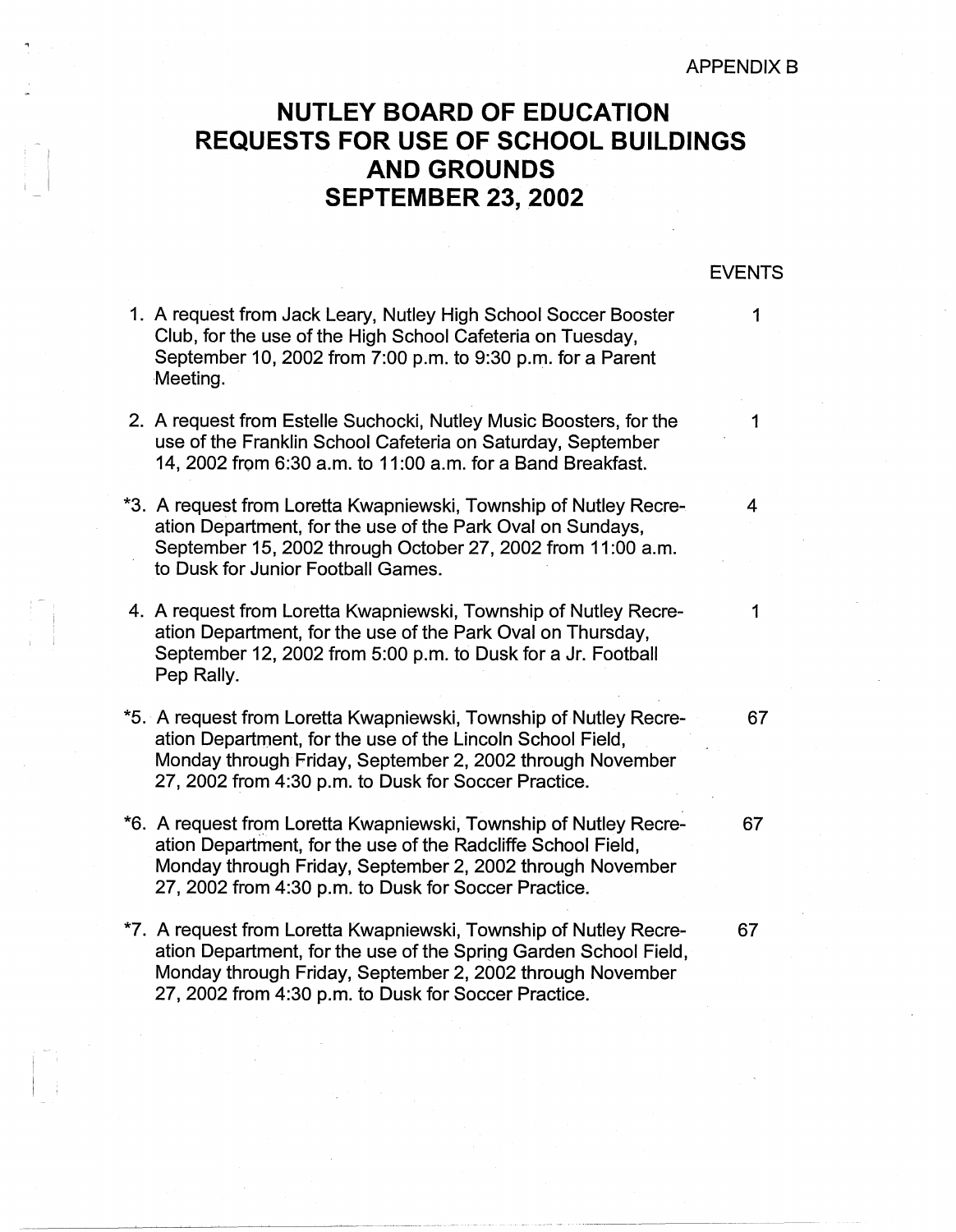## APPENDIX B

EVENTS

## **NUTLEY BOARD OF EDUCATION REQUESTS FOR USE OF SCHOOL BUILDINGS AND GROUNDS SEPTEMBER 23, 2002**

## 1. A request from Jack Leary, Nutley High School Soccer Booster 1 Club, for the use of the High School Cafeteria on Tuesday, September 10, 2002 from 7:00 p.m. to 9:30 p.m. for a Parent Meeting. 2. A request from Estelle Suchocki, Nutley Music Boosters, for the 1 use of the Franklin School Cafeteria on Saturday, September 14, 2002 from 6:30 a.m. to 11 :00 a.m. for a Band Breakfast. \*3. A request from Loretta Kwapniewski, Township of Nutley Recre- 4 ation Department, for the use of the Park Oval on Sundays, September 15, 2002 through October 27, 2002 from 11 :00 a.m. to Dusk for Junior Football Games. 4. A request from Loretta Kwapniewski, Township of Nutley Recreation Department, for the use of the Park Oval on Thursday, September 12, 2002 from 5:00 p.m. to Dusk for a Jr. Football Pep Rally. 1 \*5. A request from Loretta Kwapniewski, Township of Nutley Recre- 67 ation Department, for the use of the Lincoln School Field, Monday through Friday, September 2, 2002 through November 27, 2002 from 4:30 p.m. to Dusk for Soccer Practice. \*6. A request from Loretta Kwapniewski, Township of Nutley Recre- 67 ation Department, for the use of the Radcliffe School Field, Monday through Friday, September 2, 2002 through November 27, 2002 from 4:30 p.m. to Dusk for Soccer Practice. \*7. A request from Loretta Kwapniewski, Township of Nutley Recre- 67 ation Department, for the use of the Spring Garden School Field, Monday through Friday, September 2, 2002 through November 27, 2002 from 4:30 p.m. to Dusk for Soccer Practice.

I I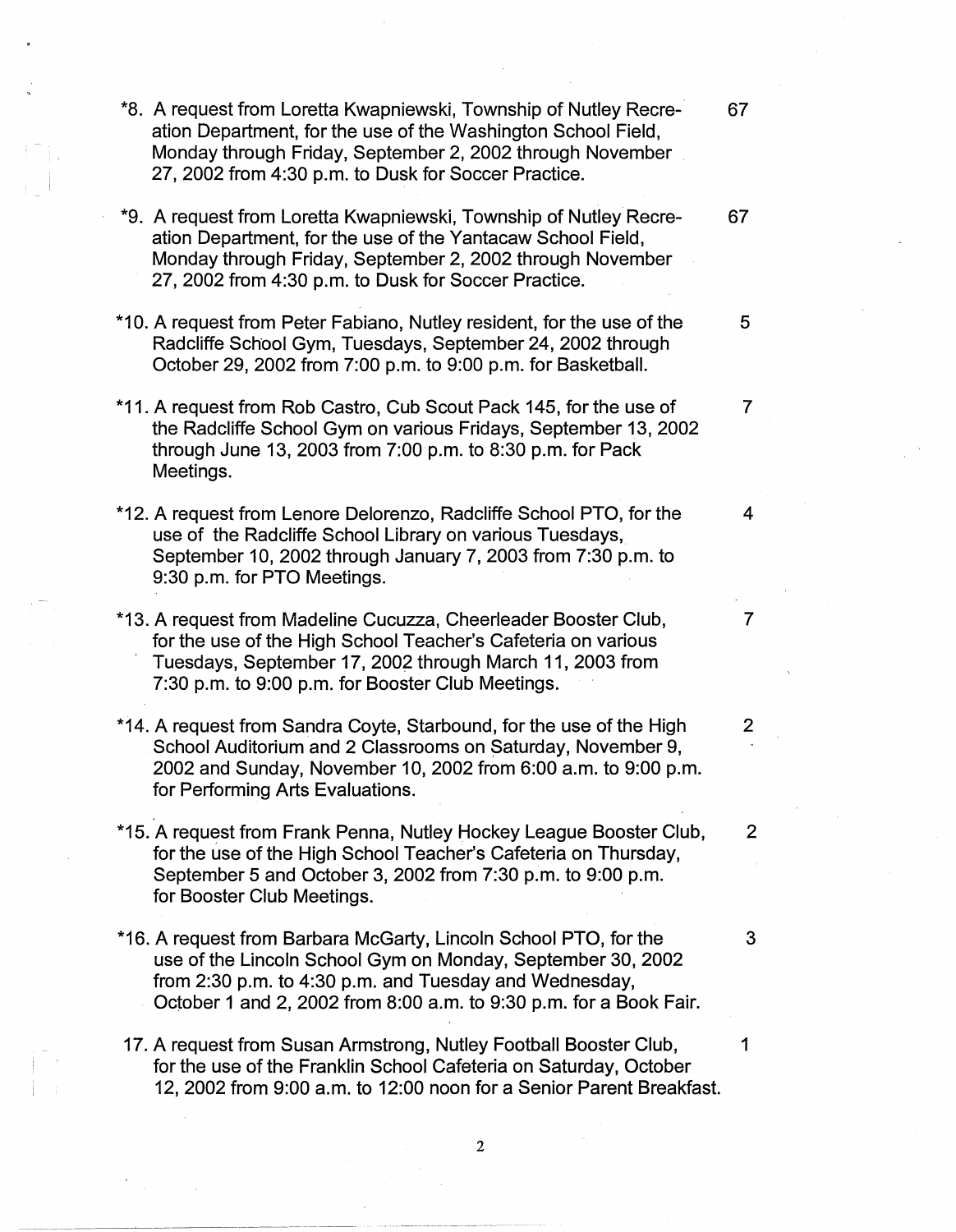- \*8. A request from Loretta Kwapniewski, Township of Nutley Recre- 67 ation Department, for the use of the Washington School Field, Monday through Friday, September 2, 2002 through November 27, 2002 from 4:30 p.m. to Dusk for Soccer Practice.
- \*9. A request from Loretta Kwapniewski, Township of Nutley Recre- 67 ation Department, for the use of the Yantacaw School Field, Monday through Friday, September 2, 2002 through November 27, 2002 from 4:30 p.m. to Dusk for Soccer Practice.
- \*10. A request from Peter Fabiano, Nutley resident, for the use of the 5 Radcliffe School Gym, Tuesdays, September 24, 2002 through October 29, 2002 from 7:00 p.m. to 9:00 p.m. for Basketball.
- \*11. A request from Rob Castro, Cub Scout Pack 145, for the use of 7 the Radcliffe School Gym on various Fridays, September 13, 2002 through June 13, 2003 from 7:00 p.m. to 8:30 p.m. for Pack Meetings.
- \*12. A request from Lenore Delorenzo, Radcliffe School PTO, for the 4 use of the Radcliffe School Library on various Tuesdays, September 10, 2002 through January 7, 2003 from 7:30 p.m. to 9:30 p.m. for PTO Meetings.
- \*13. A request from Madeline Cucuzza, Cheerleader Booster Club, 7 for the use of the High School Teacher's Cafeteria on various , Tuesdays, September 17, 2002 through March 11, 2003 from 7:30 p.m. to 9:00 p.m. for Booster Club Meetings.
- \*14. A request from Sandra Coyte, Starbound, for the use of the High 2 School Auditorium and 2 Classrooms on Saturday, November 9, 2002 and Sunday, November 10, 2002 from 6:00 a.m. to 9:00 p.m. for Performing Arts Evaluations.
- \*15. A request from Frank Penna, Nutley Hockey League Booster Club, 2 for the use of the High School Teacher's Cafeteria on Thursday, September 5 and October 3, 2002 from 7:30 p.m. to 9:00 p.m. for Booster Club Meetings.
- \*16. A request from Barbara McGarty, Lincoln School PTO, for the 3 use of the Lincoln School Gym on Monday, September 30, 2002 from 2:30 p.m. to 4:30 p.m. and Tuesday and Wednesday, October 1 and 2, 2002 from 8:00 a.m. to 9:30 p.m. for a Book Fair.
- 17. A request from Susan Armstrong, Nutley Football Booster Club, 1 for the use of the Franklin School Cafeteria on Saturday, October 12, 2002 from 9:00 a.m. to 12:00 noon for a Senior Parent Breakfast.

~~--- --~-------------------

2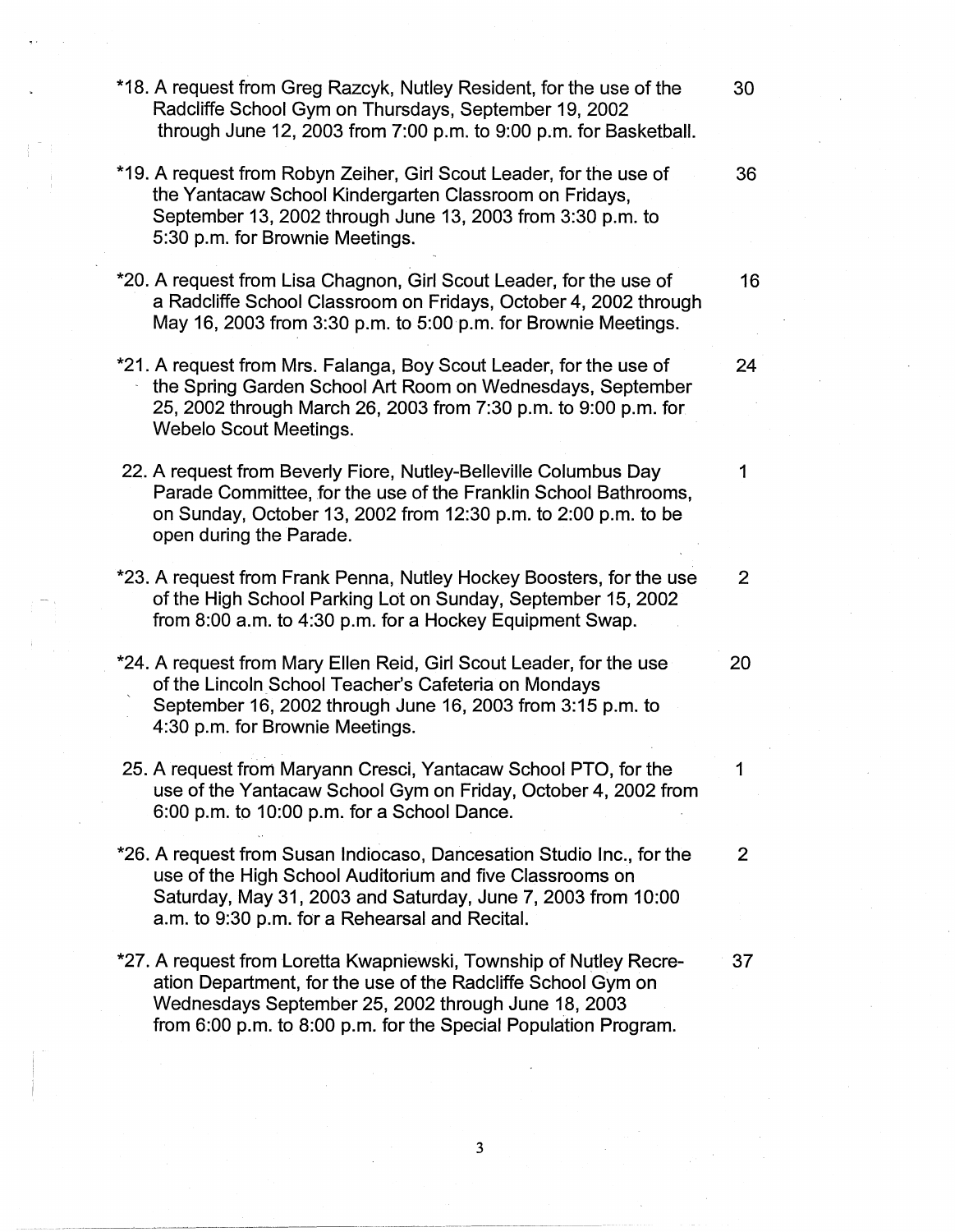\*18. A request from Greg Razcyk, Nutley Resident, for the use of the 30 Radcliffe School Gym on Thursdays, September 19, 2002 through June 12, 2003 from 7:00 p.m. to 9:00 p.m. for Basketball. \*19. A request from Robyn Zeiher, Girl Scout Leader, for the use of 36 the Yantacaw School Kindergarten Classroom on Fridays, September 13, 2002 through June 13, 2003 from 3:30 p.m. to 5:30 p.m. for Brownie Meetings. \*20. A request from Lisa Chagnon, Girl Scout Leader, for the use of 16 a Radcliffe School Classroom on Fridays, October 4, 2002 through May 16, 2003 from 3:30 p.m. to 5:00 p.m. for Brownie Meetings. \*21. A request from Mrs. Falanga, Boy Scout Leader, for the use of 24 the Spring Garden School Art Room on Wednesdays, September 25, 2002 through March 26, 2003 from 7:30 p.m. to 9:00 p.m. for Webelo Scout Meetings. 22. A request from Beverly Fiore, Nutley-Belleville Columbus Day 1 Parade Committee, for the use of the Franklin School Bathrooms, on Sunday, October 13, 2002 from 12:30 p.m. to 2:00 p.m. to be open during the Parade. \*23. A request from Frank Penna, Nutley Hockey Boosters, for the use of the High School Parking Lot on Sunday, September 15, 2002 from 8:00 a.m. to 4:30 p.m. for a Hockey Equipment Swap. \*24. A request from Mary Ellen Reid, Girl Scout Leader, for the use 20 of the Lincoln School Teacher's Cafeteria on Mondays September 16, 2002 through June 16, 2003 from 3:15 p.m. to 4:30 p.m. for Brownie Meetings. 25. A request from Maryann Cresci, Yantacaw School PTO, for the 1 use of the Yantacaw School Gym on Friday, October 4, 2002 from 6:00 p.m. to 10:00 p.m. for a School Dance. \*26. A request from Susan lndiocaso, Dancesation Studio Inc., for the 2 use of the High School Auditorium and five Classrooms on Saturday, May 31, 2003 and Saturday, June 7, 2003 from 10:00 a.m. to 9:30 p.m. for a Rehearsal and Recital. \*27. A request from Loretta Kwapniewski, Township of Nutley Recre- 37 ation Department, for the use of the Radcliffe School Gym on Wednesdays September 25, 2002 through June 18, 2003 from 6:00 p.m. to 8:00 p.m. for the Special Population Program.

3

- '

- 
- 2
- 
- 
- 
- 
-